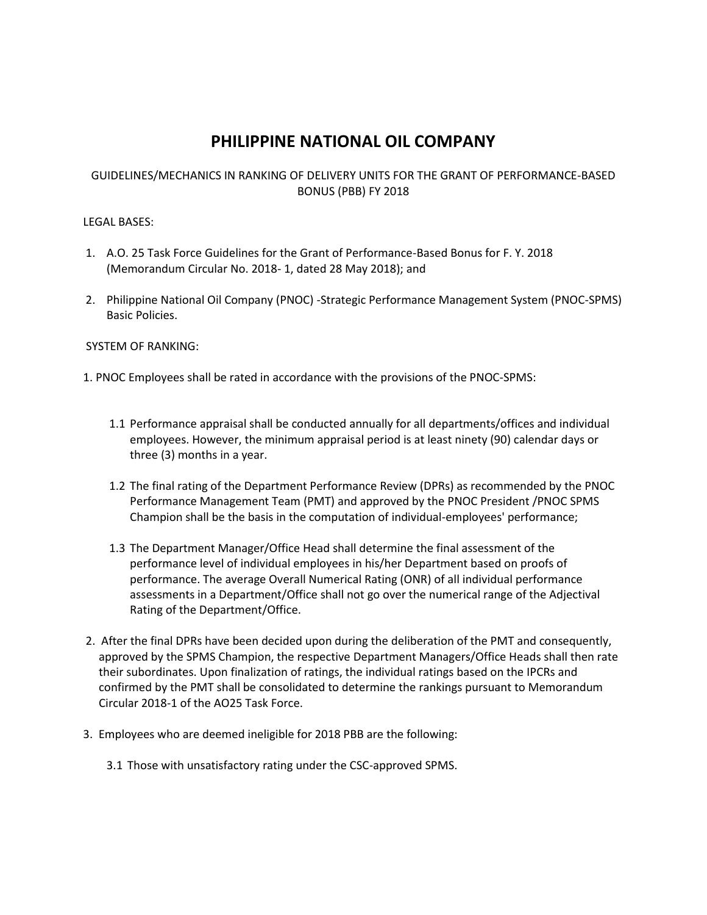# **PHILIPPINE NATIONAL OIL COMPANY**

#### GUIDELINES/MECHANICS IN RANKING OF DELIVERY UNITS FOR THE GRANT OF PERFORMANCE-BASED BONUS (PBB) FY 2018

#### LEGAL BASES:

- 1. A.O. 25 Task Force Guidelines for the Grant of Performance-Based Bonus for F. Y. 2018 (Memorandum Circular No. 2018- 1, dated 28 May 2018); and
- 2. Philippine National Oil Company (PNOC) -Strategic Performance Management System (PNOC-SPMS) Basic Policies.

#### SYSTEM OF RANKING:

- 1. PNOC Employees shall be rated in accordance with the provisions of the PNOC-SPMS:
	- 1.1 Performance appraisal shall be conducted annually for all departments/offices and individual employees. However, the minimum appraisal period is at least ninety (90) calendar days or three (3) months in a year.
	- 1.2 The final rating of the Department Performance Review (DPRs) as recommended by the PNOC Performance Management Team (PMT) and approved by the PNOC President /PNOC SPMS Champion shall be the basis in the computation of individual-employees' performance;
	- 1.3 The Department Manager/Office Head shall determine the final assessment of the performance level of individual employees in his/her Department based on proofs of performance. The average Overall Numerical Rating (ONR) of all individual performance assessments in a Department/Office shall not go over the numerical range of the Adjectival Rating of the Department/Office.
- 2. After the final DPRs have been decided upon during the deliberation of the PMT and consequently, approved by the SPMS Champion, the respective Department Managers/Office Heads shall then rate their subordinates. Upon finalization of ratings, the individual ratings based on the IPCRs and confirmed by the PMT shall be consolidated to determine the rankings pursuant to Memorandum Circular 2018-1 of the AO25 Task Force.
- 3. Employees who are deemed ineligible for 2018 PBB are the following:
	- 3.1 Those with unsatisfactory rating under the CSC-approved SPMS.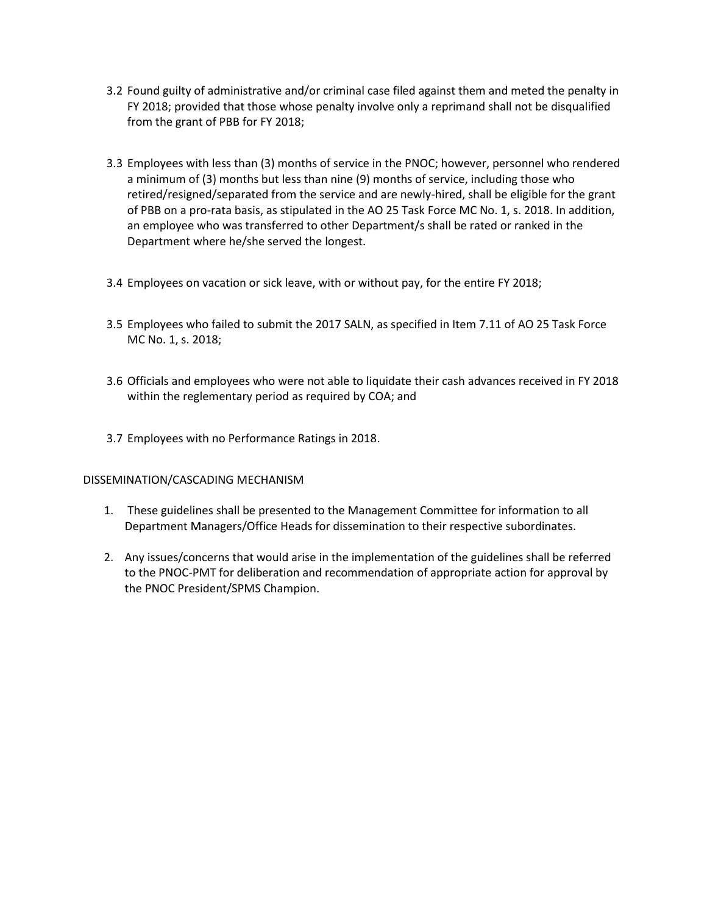- 3.2 Found guilty of administrative and/or criminal case filed against them and meted the penalty in FY 2018; provided that those whose penalty involve only a reprimand shall not be disqualified from the grant of PBB for FY 2018;
- 3.3 Employees with less than (3) months of service in the PNOC; however, personnel who rendered a minimum of (3) months but less than nine (9) months of service, including those who retired/resigned/separated from the service and are newly-hired, shall be eligible for the grant of PBB on a pro-rata basis, as stipulated in the AO 25 Task Force MC No. 1, s. 2018. In addition, an employee who was transferred to other Department/s shall be rated or ranked in the Department where he/she served the longest.
- 3.4 Employees on vacation or sick leave, with or without pay, for the entire FY 2018;
- 3.5 Employees who failed to submit the 2017 SALN, as specified in Item 7.11 of AO 25 Task Force MC No. 1, s. 2018;
- 3.6 Officials and employees who were not able to liquidate their cash advances received in FY 2018 within the reglementary period as required by COA; and
- 3.7 Employees with no Performance Ratings in 2018.

#### DISSEMINATION/CASCADING MECHANISM

- 1. These guidelines shall be presented to the Management Committee for information to all Department Managers/Office Heads for dissemination to their respective subordinates.
- 2. Any issues/concerns that would arise in the implementation of the guidelines shall be referred to the PNOC-PMT for deliberation and recommendation of appropriate action for approval by the PNOC President/SPMS Champion.